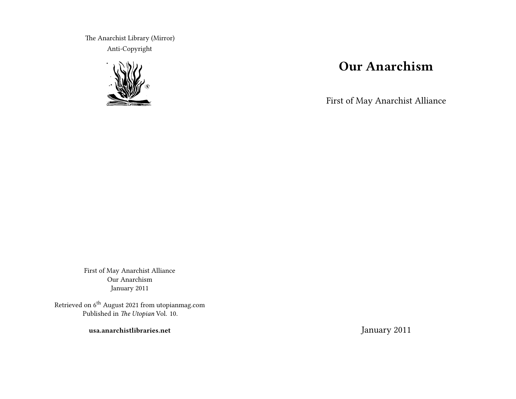The Anarchist Library (Mirror) Anti-Copyright



# **Our Anarchism**

First of May Anarchist Alliance

First of May Anarchist Alliance Our Anarchism January 2011

Retrieved on 6<sup>th</sup> August 2021 from utopianmag.com Published in *The Utopian* Vol. 10.

**usa.anarchistlibraries.net**

January 2011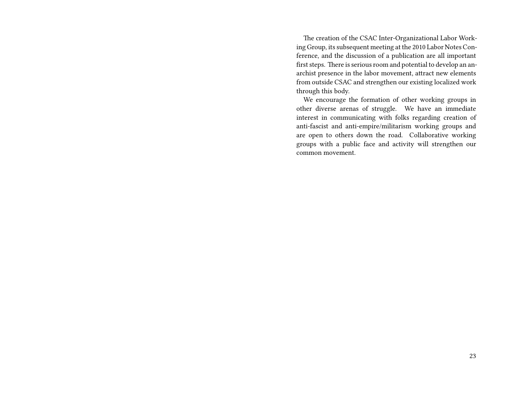The creation of the CSAC Inter-Organizational Labor Working Group, its subsequent meeting at the 2010 Labor Notes Conference, and the discussion of a publication are all important first steps. There is serious room and potential to develop an anarchist presence in the labor movement, attract new elements from outside CSAC and strengthen our existing localized work through this body.

We encourage the formation of other working groups in other diverse arenas of struggle. We have an immediate interest in communicating with folks regarding creation of anti-fascist and anti-empire/militarism working groups and are open to others down the road. Collaborative working groups with a public face and activity will strengthen our common movement.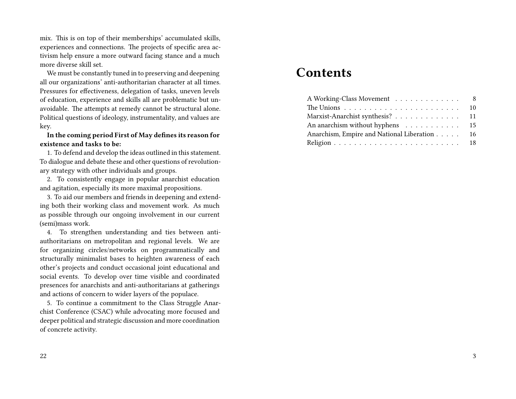mix. This is on top of their memberships' accumulated skills, experiences and connections. The projects of specific area activism help ensure a more outward facing stance and a much more diverse skill set.

We must be constantly tuned in to preserving and deepening all our organizations' anti-authoritarian character at all times. Pressures for effectiveness, delegation of tasks, uneven levels of education, experience and skills all are problematic but unavoidable. The attempts at remedy cannot be structural alone. Political questions of ideology, instrumentality, and values are key.

**In the coming period First of May defines its reason for existence and tasks to be:**

1. To defend and develop the ideas outlined in this statement. To dialogue and debate these and other questions of revolutionary strategy with other individuals and groups.

2. To consistently engage in popular anarchist education and agitation, especially its more maximal propositions.

3. To aid our members and friends in deepening and extending both their working class and movement work. As much as possible through our ongoing involvement in our current (semi)mass work.

4. To strengthen understanding and ties between antiauthoritarians on metropolitan and regional levels. We are for organizing circles/networks on programmatically and structurally minimalist bases to heighten awareness of each other's projects and conduct occasional joint educational and social events. To develop over time visible and coordinated presences for anarchists and anti-authoritarians at gatherings and actions of concern to wider layers of the populace.

5. To continue a commitment to the Class Struggle Anarchist Conference (CSAC) while advocating more focused and deeper political and strategic discussion and more coordination of concrete activity.

# **Contents**

| A Working-Class Movement 8                                                     |  |
|--------------------------------------------------------------------------------|--|
| The Unions $\ldots \ldots \ldots \ldots \ldots \ldots \ldots \ldots \ldots$ 10 |  |
| Marxist-Anarchist synthesis? 11                                                |  |
| An anarchism without hyphens 15                                                |  |
| Anarchism, Empire and National Liberation 16                                   |  |
|                                                                                |  |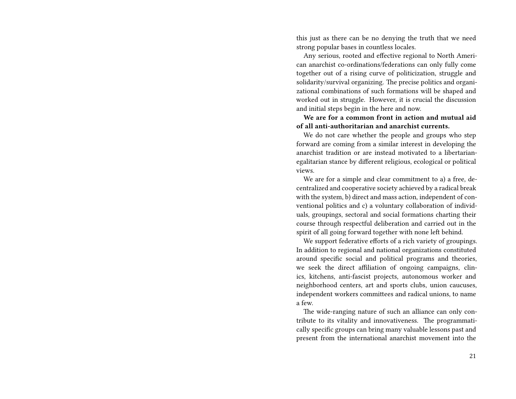this just as there can be no denying the truth that we need strong popular bases in countless locales.

Any serious, rooted and effective regional to North American anarchist co-ordinations/federations can only fully come together out of a rising curve of politicization, struggle and solidarity/survival organizing. The precise politics and organizational combinations of such formations will be shaped and worked out in struggle. However, it is crucial the discussion and initial steps begin in the here and now.

**We are for a common front in action and mutual aid of all anti-authoritarian and anarchist currents.**

We do not care whether the people and groups who step forward are coming from a similar interest in developing the anarchist tradition or are instead motivated to a libertarianegalitarian stance by different religious, ecological or political views.

We are for a simple and clear commitment to a) a free, decentralized and cooperative society achieved by a radical break with the system, b) direct and mass action, independent of conventional politics and c) a voluntary collaboration of individuals, groupings, sectoral and social formations charting their course through respectful deliberation and carried out in the spirit of all going forward together with none left behind.

We support federative efforts of a rich variety of groupings. In addition to regional and national organizations constituted around specific social and political programs and theories, we seek the direct affiliation of ongoing campaigns, clinics, kitchens, anti-fascist projects, autonomous worker and neighborhood centers, art and sports clubs, union caucuses, independent workers committees and radical unions, to name a few.

The wide-ranging nature of such an alliance can only contribute to its vitality and innovativeness. The programmatically specific groups can bring many valuable lessons past and present from the international anarchist movement into the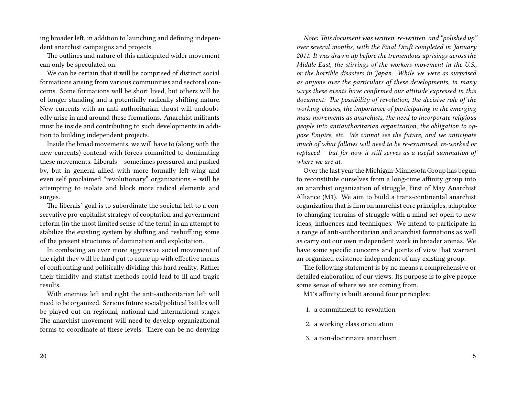ing broader left, in addition to launching and defining independent anarchist campaigns and projects.

The outlines and nature of this anticipated wider movement can only be speculated on.

We can be certain that it will be comprised of distinct social formations arising from various communities and sectoral concerns. Some formations will be short lived, but others will be of longer standing and a potentially radically shifting nature. New currents with an anti-authoritarian thrust will undoubtedly arise in and around these formations. Anarchist militants must be inside and contributing to such developments in addition to building independent projects.

Inside the broad movements, we will have to (along with the new currents) contend with forces committed to dominating these movements. Liberals – sometimes pressured and pushed by, but in general allied with more formally left-wing and even self proclaimed "revolutionary" organizations – will be attempting to isolate and block more radical elements and surges.

The liberals' goal is to subordinate the societal left to a conservative pro-capitalist strategy of cooptation and government reform (in the most limited sense of the term) in an attempt to stabilize the existing system by shifting and reshuffling some of the present structures of domination and exploitation.

In combating an ever more aggressive social movement of the right they will be hard put to come up with effective means of confronting and politically dividing this hard reality. Rather their timidity and statist methods could lead to ill and tragic results.

With enemies left and right the anti-authoritarian left will need to be organized. Serious future social/political battles will be played out on regional, national and international stages. The anarchist movement will need to develop organizational forms to coordinate at these levels. There can be no denying

20

*Note: This document was written, re-written, and "polished up" over several months, with the Final Draft completed in January 2011. It was drawn up before the tremendous uprisings across the Middle East, the stirrings of the workers movement in the U.S., or the horrible disasters in Japan. While we were as surprised as anyone over the particulars of these developments, in many ways these events have confirmed our attitude expressed in this document: The possibility of revolution, the decisive role of the working-classes, the importance of participating in the emerging mass movements as anarchists, the need to incorporate religious people into antiauthoritarian organization, the obligation to oppose Empire, etc. We cannot see the future, and we anticipate much of what follows will need to be re-examined, re-worked or replaced – but for now it still serves as a useful summation of where we are at.*

Over the last year the Michigan-Minnesota Group has begun to reconstitute ourselves from a long-time affinity group into an anarchist organization of struggle, First of May Anarchist Alliance (M1). We aim to build a trans-continental anarchist organization that is firm on anarchist core principles, adaptable to changing terrains of struggle with a mind set open to new ideas, influences and techniques. We intend to participate in a range of anti-authoritarian and anarchist formations as well as carry out our own independent work in broader arenas. We have some specific concerns and points of view that warrant an organized existence independent of any existing group.

The following statement is by no means a comprehensive or detailed elaboration of our views. Its purpose is to give people some sense of where we are coming from.

M1′s affinity is built around four principles:

- 1. a commitment to revolution
- 2. a working class orientation
- 3. a non-doctrinaire anarchism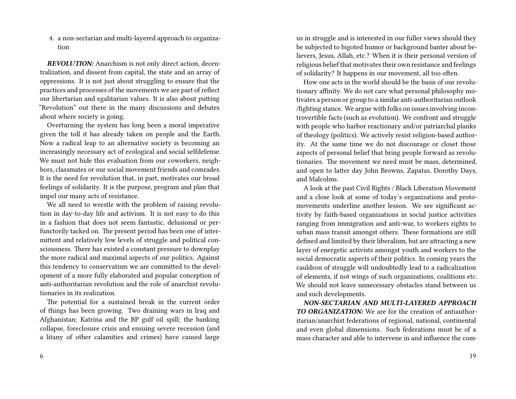4. a non-sectarian and multi-layered approach to organization

*REVOLUTION:* Anarchism is not only direct action, decentralization, and dissent from capital, the state and an array of oppressions. It is not just about struggling to ensure that the practices and processes of the movements we are part of reflect our libertarian and egalitarian values. It is also about putting "Revolution" out there in the many discussions and debates about where society is going.

Overturning the system has long been a moral imperative given the toll it has already taken on people and the Earth. Now a radical leap to an alternative society is becoming an increasingly necessary act of ecological and social selfdefense. We must not hide this evaluation from our coworkers, neighbors, classmates or our social movement friends and comrades. It is the need for revolution that, in part, motivates our broad feelings of solidarity. It is the purpose, program and plan that impel our many acts of resistance.

We all need to wrestle with the problem of raising revolution in day-to-day life and activism. It is not easy to do this in a fashion that does not seem fantastic, delusional or perfunctorily tacked on. The present period has been one of intermittent and relatively low levels of struggle and political consciousness. There has existed a constant pressure to downplay the more radical and maximal aspects of our politics. Against this tendency to conservatism we are committed to the development of a more fully elaborated and popular conception of anti-authoritarian revolution and the role of anarchist revolutionaries in its realization.

The potential for a sustained break in the current order of things has been growing. Two draining wars in Iraq and Afghanistan; Katrina and the BP gulf oil spill; the banking collapse, foreclosure crisis and ensuing severe recession (and a litany of other calamities and crimes) have caused large

6

us in struggle and is interested in our fuller views should they be subjected to bigoted humor or background banter about believers, Jesus, Allah, etc.? When it is their personal version of religious belief that motivates their own resistance and feelings of solidarity? It happens in our movement, all too often.

How one acts in the world should be the basis of our revolutionary affinity. We do not care what personal philosophy motivates a person or group to a similar anti-authoritarian outlook /fighting stance. We argue with folks on issues involving incontrovertible facts (such as evolution). We confront and struggle with people who harbor reactionary and/or patriarchal planks of theology (politics). We actively resist religion-based authority. At the same time we do not discourage or closet those aspects of personal belief that bring people forward as revolutionaries. The movement we need must be mass, determined, and open to latter day John Browns, Zapatas, Dorothy Days, and Malcolms.

A look at the past Civil Rights / Black Liberation Movement and a close look at some of today's organizations and protomovements underline another lesson. We see significant activity by faith-based organizations in social justice activities ranging from immigration and anti-war, to workers rights to urban mass transit amongst others. These formations are still defined and limited by their liberalism, but are attracting a new layer of energetic activists amongst youth and workers to the social democratic aspects of their politics. In coming years the cauldron of struggle will undoubtedly lead to a radicalization of elements, if not wings of such organizations, coalitions etc. We should not leave unnecessary obstacles stand between us and such developments.

*NON-SECTARIAN AND MULTI-LAYERED APPROACH TO ORGANIZATION:* We are for the creation of antiauthoritarian/anarchist federations of regional, national, continental and even global dimensions. Such federations must be of a mass character and able to intervene in and influence the com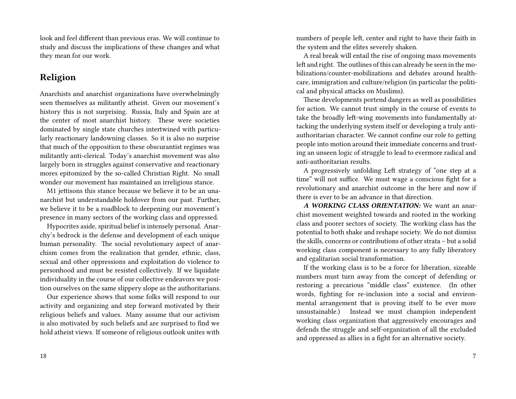look and feel different than previous eras. We will continue to study and discuss the implications of these changes and what they mean for our work.

# **Religion**

Anarchists and anarchist organizations have overwhelmingly seen themselves as militantly atheist. Given our movement's history this is not surprising. Russia, Italy and Spain are at the center of most anarchist history. These were societies dominated by single state churches intertwined with particularly reactionary landowning classes. So it is also no surprise that much of the opposition to these obscurantist regimes was militantly anti-clerical. Today's anarchist movement was also largely born in struggles against conservative and reactionary mores epitomized by the so-called Christian Right. No small wonder our movement has maintained an irreligious stance.

M1 jettisons this stance because we believe it to be an unanarchist but understandable holdover from our past. Further, we believe it to be a roadblock to deepening our movement's presence in many sectors of the working class and oppressed.

Hypocrites aside, spiritual belief is intensely personal. Anarchy's bedrock is the defense and development of each unique human personality. The social revolutionary aspect of anarchism comes from the realization that gender, ethnic, class, sexual and other oppressions and exploitation do violence to personhood and must be resisted collectively. If we liquidate individuality in the course of our collective endeavors we position ourselves on the same slippery slope as the authoritarians.

Our experience shows that some folks will respond to our activity and organizing and step forward motivated by their religious beliefs and values. Many assume that our activism is also motivated by such beliefs and are surprised to find we hold atheist views. If someone of religious outlook unites with numbers of people left, center and right to have their faith in the system and the elites severely shaken.

A real break will entail the rise of ongoing mass movements left and right. The outlines of this can already be seen in the mobilizations/counter-mobilizations and debates around healthcare, immigration and culture/religion (in particular the political and physical attacks on Muslims).

These developments portend dangers as well as possibilities for action. We cannot trust simply in the course of events to take the broadly left-wing movements into fundamentally attacking the underlying system itself or developing a truly antiauthoritarian character. We cannot confine our role to getting people into motion around their immediate concerns and trusting an unseen logic of struggle to lead to evermore radical and anti-authoritarian results.

A progressively unfolding Left strategy of "one step at a time" will not suffice. We must wage a conscious fight for a revolutionary and anarchist outcome in the here and now if there is ever to be an advance in that direction.

*A WORKING CLASS ORIENTATION:* We want an anarchist movement weighted towards and rooted in the working class and poorer sectors of society. The working class has the potential to both shake and reshape society. We do not dismiss the skills, concerns or contributions of other strata – but a solid working class component is necessary to any fully liberatory and egalitarian social transformation.

If the working class is to be a force for liberation, sizeable numbers must turn away from the concept of defending or restoring a precarious "middle class" existence. (In other words, fighting for re-inclusion into a social and environmental arrangement that is proving itself to be ever more unsustainable.) Instead we must champion independent working class organization that aggressively encourages and defends the struggle and self-organization of all the excluded and oppressed as allies in a fight for an alternative society.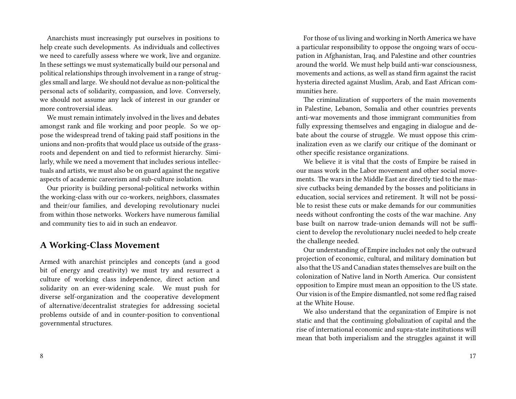Anarchists must increasingly put ourselves in positions to help create such developments. As individuals and collectives we need to carefully assess where we work, live and organize. In these settings we must systematically build our personal and political relationships through involvement in a range of struggles small and large. We should not devalue as non-political the personal acts of solidarity, compassion, and love. Conversely, we should not assume any lack of interest in our grander or more controversial ideas.

We must remain intimately involved in the lives and debates amongst rank and file working and poor people. So we oppose the widespread trend of taking paid staff positions in the unions and non-profits that would place us outside of the grassroots and dependent on and tied to reformist hierarchy. Similarly, while we need a movement that includes serious intellectuals and artists, we must also be on guard against the negative aspects of academic careerism and sub-culture isolation.

Our priority is building personal-political networks within the working-class with our co-workers, neighbors, classmates and their/our families, and developing revolutionary nuclei from within those networks. Workers have numerous familial and community ties to aid in such an endeavor.

#### **A Working-Class Movement**

Armed with anarchist principles and concepts (and a good bit of energy and creativity) we must try and resurrect a culture of working class independence, direct action and solidarity on an ever-widening scale. We must push for diverse self-organization and the cooperative development of alternative/decentralist strategies for addressing societal problems outside of and in counter-position to conventional governmental structures.

For those of us living and working in North America we have a particular responsibility to oppose the ongoing wars of occupation in Afghanistan, Iraq, and Palestine and other countries around the world. We must help build anti-war consciousness, movements and actions, as well as stand firm against the racist hysteria directed against Muslim, Arab, and East African communities here.

The criminalization of supporters of the main movements in Palestine, Lebanon, Somalia and other countries prevents anti-war movements and those immigrant communities from fully expressing themselves and engaging in dialogue and debate about the course of struggle. We must oppose this criminalization even as we clarify our critique of the dominant or other specific resistance organizations.

We believe it is vital that the costs of Empire be raised in our mass work in the Labor movement and other social movements. The wars in the Middle East are directly tied to the massive cutbacks being demanded by the bosses and politicians in education, social services and retirement. It will not be possible to resist these cuts or make demands for our communities needs without confronting the costs of the war machine. Any base built on narrow trade-union demands will not be sufficient to develop the revolutionary nuclei needed to help create the challenge needed.

Our understanding of Empire includes not only the outward projection of economic, cultural, and military domination but also that the US and Canadian states themselves are built on the colonization of Native land in North America. Our consistent opposition to Empire must mean an opposition to the US state. Our vision is of the Empire dismantled, not some red flag raised at the White House.

We also understand that the organization of Empire is not static and that the continuing globalization of capital and the rise of international economic and supra-state institutions will mean that both imperialism and the struggles against it will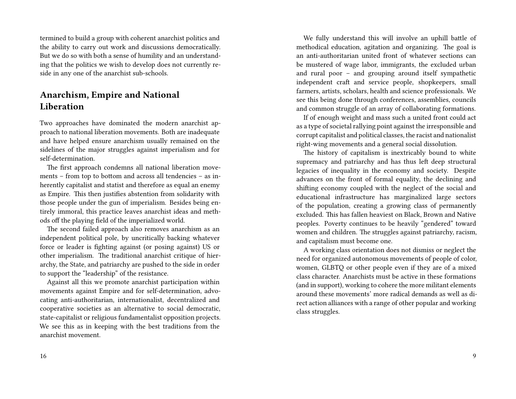termined to build a group with coherent anarchist politics and the ability to carry out work and discussions democratically. But we do so with both a sense of humility and an understanding that the politics we wish to develop does not currently reside in any one of the anarchist sub-schools.

# **Anarchism, Empire and National Liberation**

Two approaches have dominated the modern anarchist approach to national liberation movements. Both are inadequate and have helped ensure anarchism usually remained on the sidelines of the major struggles against imperialism and for self-determination.

The first approach condemns all national liberation movements – from top to bottom and across all tendencies – as inherently capitalist and statist and therefore as equal an enemy as Empire. This then justifies abstention from solidarity with those people under the gun of imperialism. Besides being entirely immoral, this practice leaves anarchist ideas and methods off the playing field of the imperialized world.

The second failed approach also removes anarchism as an independent political pole, by uncritically backing whatever force or leader is fighting against (or posing against) US or other imperialism. The traditional anarchist critique of hierarchy, the State, and patriarchy are pushed to the side in order to support the "leadership" of the resistance.

Against all this we promote anarchist participation within movements against Empire and for self-determination, advocating anti-authoritarian, internationalist, decentralized and cooperative societies as an alternative to social democratic, state-capitalist or religious fundamentalist opposition projects. We see this as in keeping with the best traditions from the anarchist movement.

We fully understand this will involve an uphill battle of methodical education, agitation and organizing. The goal is an anti-authoritarian united front of whatever sections can be mustered of wage labor, immigrants, the excluded urban and rural poor – and grouping around itself sympathetic independent craft and service people, shopkeepers, small farmers, artists, scholars, health and science professionals. We see this being done through conferences, assemblies, councils and common struggle of an array of collaborating formations.

If of enough weight and mass such a united front could act as a type of societal rallying point against the irresponsible and corrupt capitalist and political classes, the racist and nationalist right-wing movements and a general social dissolution.

The history of capitalism is inextricably bound to white supremacy and patriarchy and has thus left deep structural legacies of inequality in the economy and society. Despite advances on the front of formal equality, the declining and shifting economy coupled with the neglect of the social and educational infrastructure has marginalized large sectors of the population, creating a growing class of permanently excluded. This has fallen heaviest on Black, Brown and Native peoples. Poverty continues to be heavily "gendered" toward women and children. The struggles against patriarchy, racism, and capitalism must become one.

A working class orientation does not dismiss or neglect the need for organized autonomous movements of people of color, women, GLBTQ or other people even if they are of a mixed class character. Anarchists must be active in these formations (and in support), working to cohere the more militant elements around these movements' more radical demands as well as direct action alliances with a range of other popular and working class struggles.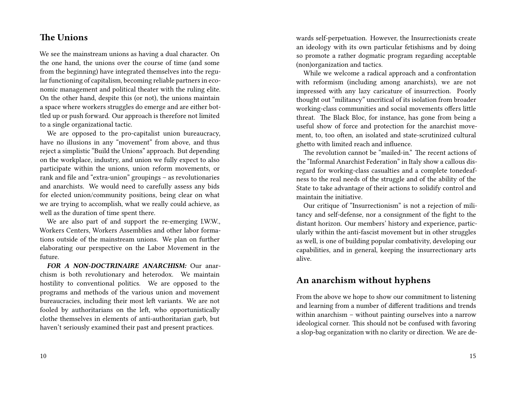# **The Unions**

We see the mainstream unions as having a dual character. On the one hand, the unions over the course of time (and some from the beginning) have integrated themselves into the regular functioning of capitalism, becoming reliable partners in economic management and political theater with the ruling elite. On the other hand, despite this (or not), the unions maintain a space where workers struggles do emerge and are either bottled up or push forward. Our approach is therefore not limited to a single organizational tactic.

We are opposed to the pro-capitalist union bureaucracy, have no illusions in any "movement" from above, and thus reject a simplistic "Build the Unions" approach. But depending on the workplace, industry, and union we fully expect to also participate within the unions, union reform movements, or rank and file and "extra-union" groupings – as revolutionaries and anarchists. We would need to carefully assess any bids for elected union/community positions, being clear on what we are trying to accomplish, what we really could achieve, as well as the duration of time spent there.

We are also part of and support the re-emerging I.W.W., Workers Centers, Workers Assemblies and other labor formations outside of the mainstream unions. We plan on further elaborating our perspective on the Labor Movement in the future.

*FOR A NON-DOCTRINAIRE ANARCHISM:* Our anarchism is both revolutionary and heterodox. We maintain hostility to conventional politics. We are opposed to the programs and methods of the various union and movement bureaucracies, including their most left variants. We are not fooled by authoritarians on the left, who opportunistically clothe themselves in elements of anti-authoritarian garb, but haven't seriously examined their past and present practices.

10

wards self-perpetuation. However, the Insurrectionists create an ideology with its own particular fetishisms and by doing so promote a rather dogmatic program regarding acceptable (non)organization and tactics.

While we welcome a radical approach and a confrontation with reformism (including among anarchists), we are not impressed with any lazy caricature of insurrection. Poorly thought out "militancy" uncritical of its isolation from broader working-class communities and social movements offers little threat. The Black Bloc, for instance, has gone from being a useful show of force and protection for the anarchist movement, to, too often, an isolated and state-scrutinized cultural ghetto with limited reach and influence.

The revolution cannot be "mailed-in." The recent actions of the "Informal Anarchist Federation" in Italy show a callous disregard for working-class casualties and a complete tonedeafness to the real needs of the struggle and of the ability of the State to take advantage of their actions to solidify control and maintain the initiative.

Our critique of "Insurrectionism" is not a rejection of militancy and self-defense, nor a consignment of the fight to the distant horizon. Our members' history and experience, particularly within the anti-fascist movement but in other struggles as well, is one of building popular combativity, developing our capabilities, and in general, keeping the insurrectionary arts alive.

### **An anarchism without hyphens**

From the above we hope to show our commitment to listening and learning from a number of different traditions and trends within anarchism – without painting ourselves into a narrow ideological corner. This should not be confused with favoring a slop-bag organization with no clarity or direction. We are de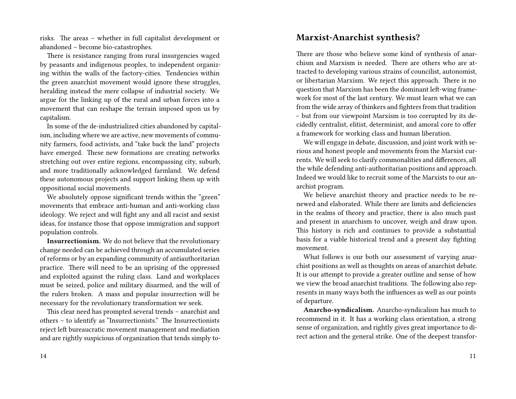risks. The areas – whether in full capitalist development or abandoned – become bio-catastrophes.

There is resistance ranging from rural insurgencies waged by peasants and indigenous peoples, to independent organizing within the walls of the factory-cities. Tendencies within the green anarchist movement would ignore these struggles, heralding instead the mere collapse of industrial society. We argue for the linking up of the rural and urban forces into a movement that can reshape the terrain imposed upon us by capitalism.

In some of the de-industrialized cities abandoned by capitalism, including where we are active, new movements of community farmers, food activists, and "take back the land" projects have emerged. These new formations are creating networks stretching out over entire regions, encompassing city, suburb, and more traditionally acknowledged farmland. We defend these autonomous projects and support linking them up with oppositional social movements.

We absolutely oppose significant trends within the "green" movements that embrace anti-human and anti-working class ideology. We reject and will fight any and all racist and sexist ideas, for instance those that oppose immigration and support population controls.

**Insurrectionism.** We do not believe that the revolutionary change needed can be achieved through an accumulated series of reforms or by an expanding community of antiauthoritarian practice. There will need to be an uprising of the oppressed and exploited against the ruling class. Land and workplaces must be seized, police and military disarmed, and the will of the rulers broken. A mass and popular insurrection will be necessary for the revolutionary transformation we seek.

This clear need has prompted several trends – anarchist and others – to identify as "Insurrectionists." The Insurrectionists reject left bureaucratic movement management and mediation and are rightly suspicious of organization that tends simply to-

# **Marxist-Anarchist synthesis?**

There are those who believe some kind of synthesis of anarchism and Marxism is needed. There are others who are attracted to developing various strains of councilist, autonomist, or libertarian Marxism. We reject this approach. There is no question that Marxism has been the dominant left-wing framework for most of the last century. We must learn what we can from the wide array of thinkers and fighters from that tradition – but from our viewpoint Marxism is too corrupted by its decidedly centralist, elitist, determinist, and amoral core to offer a framework for working class and human liberation.

We will engage in debate, discussion, and joint work with serious and honest people and movements from the Marxist currents. We will seek to clarify commonalities and differences, all the while defending anti-authoritarian positions and approach. Indeed we would like to recruit some of the Marxists to our anarchist program.

We believe anarchist theory and practice needs to be renewed and elaborated. While there are limits and deficiencies in the realms of theory and practice, there is also much past and present in anarchism to uncover, weigh and draw upon. This history is rich and continues to provide a substantial basis for a viable historical trend and a present day fighting movement.

What follows is our both our assessment of varying anarchist positions as well as thoughts on areas of anarchist debate. It is our attempt to provide a greater outline and sense of how we view the broad anarchist traditions. The following also represents in many ways both the influences as well as our points of departure.

**Anarcho-syndicalism.** Anarcho-syndicalism has much to recommend in it. It has a working class orientation, a strong sense of organization, and rightly gives great importance to direct action and the general strike. One of the deepest transfor